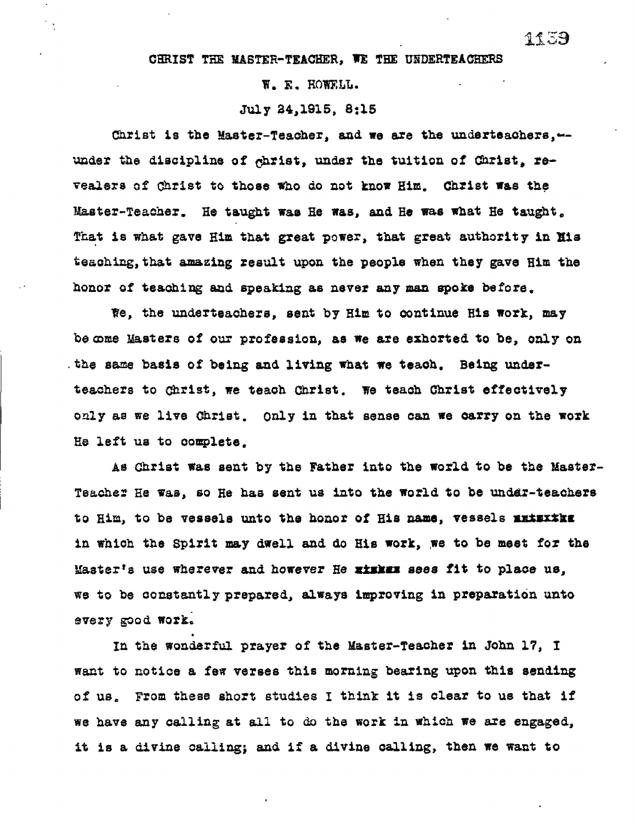## **W. E. HOWELL.**

## **July 24,1915, 8:15**

**Christ is the Master-Teacher, and we are the underteachers,-** under the discipline of *c*hrist, under the tuition of Christ, re**vealers of Christ to those who do not know Him. Christ was the Master-Teacher. He taught was He was, and He was what He taught. That is what gave Him that great power, that great authority in Zia teaching,that amazing result upon the people when they gave Him the honor of teaching and speaking as never any man spoke before.** 

**We, the underteachers, sent by Him to continue His work, may become Masters of our profession, as we are exhorted to be, only on the same basis of being and living what we teach. Being underteachers to Christ, we teach Christ. We teach Christ effectively only as we live Christ. Only in that sense can we carry on the work He left us to complete.** 

**As Christ was sent by the Father into the world to be the Master-Teacher He was, so Re has sent us into the world to be under-teachers to Him, to be vessels unto the honor of His name, vessels xximxtka in which the Spirit may dwell and do His work, we to be meet for the Masterts use wherever and however He Riskin sees fit to place us, we to be constantly prepared, always improving in preparation unto every good work** 

**In the wonderful prayer of the Master-Teacher in John 17, I want to notice a few verses this morning bearing upon this sending of us, From these short studies I think it is clear to us that if we have any calling at all to do the work in which we are engaged, it is a divine calling; and if a divine calling, then we want to**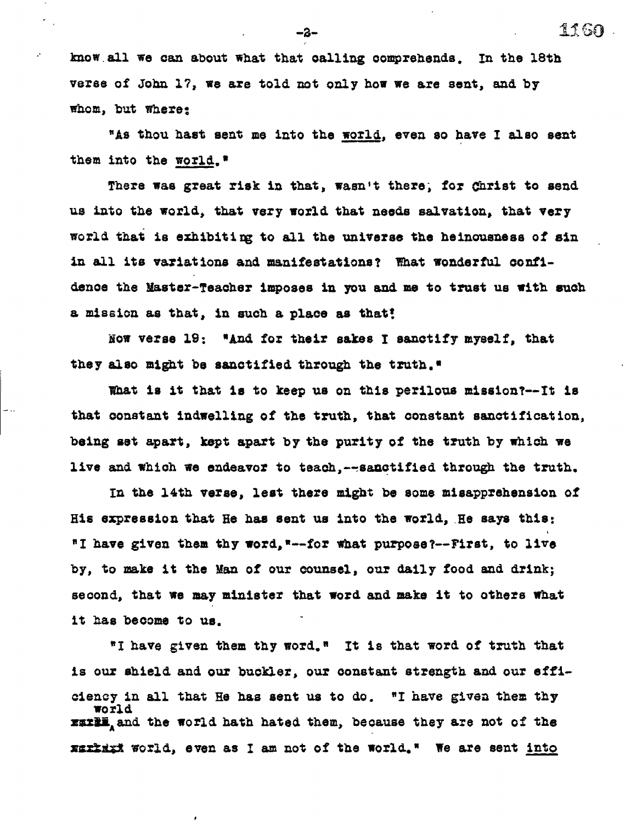**know. all we can about what that calling comprehends. In the 18th verse of John 17, we are told not only how we are sent, and by whom, but where:** 

"As thou hast sent me into the world, even so have I also sent **them into the world."** 

**There was great risk in that, wasn't there; for Christ to send us into the world, that very world that needs salvation, that very world that is ethibitimg to all the universe the heinousness of sin in all its variations and manifestations? That wonderful confidence the Master-Teacher imposes in you and me to trust us with such a mission as that, in such a place as that!** 

**Now verse 19; "And for their sakes I sanctify myself, that they also might be sanctified through the truth."** 

**What is it that is to keep us on this perilous mission?--/t is that constant indwelling of the truth, that constant sanctification, being set apart, kept apart by the purity of the truth by which we live and which we endeavor to teach,--sanctified through the truth.** 

**In the 14th verse, lest there might be some misapprehension of His expression that He has sent us into the world,\_He says this: "I have given them thy word,"--for What purpose?--First, to live by, to make it the Man of our counsel, our daily food and drink; second, that we may minister that word and make it to others What it has become to us.** 

**"1 have given them thy word." It is that word of truth that is our shield and our buckler, our constant strength and our efficiency in all that He has sent us to do. "I have given them thy world xxxxi** and the world hath hated them, because they are not of the **xmxtmixl world, even as I am not of the world." We are sent into** 

**-2-** 

 $\mathcal{C}$ 

.<br>د س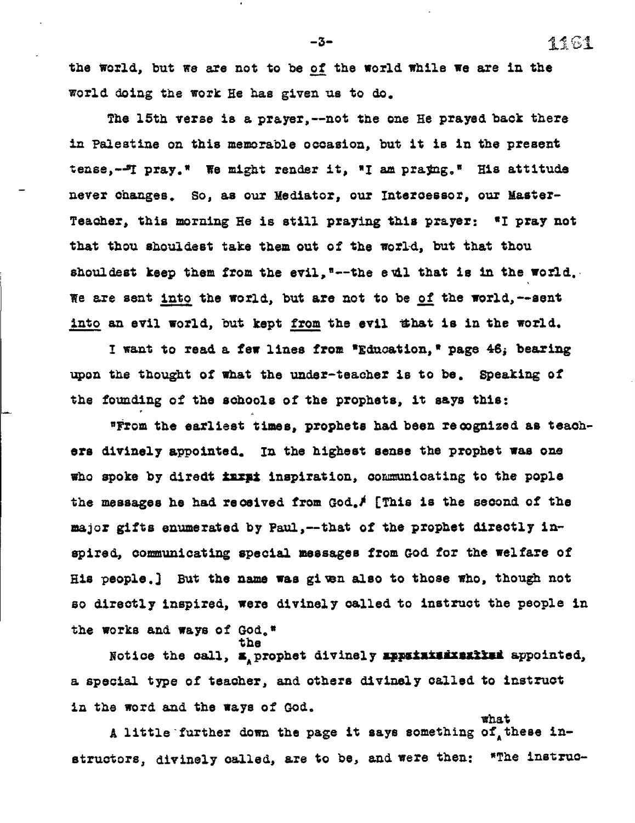the world, but we are not to be of the world while we are in the **world doing the work He has given us to do.** 

**The 15th verse is a prayer,--not the one He prayed back there in Palestine on this memorable occasion, but it is in the present tense,-JT pray.\* We might render it, \*I am prazing.° His attitude never changes. So, as our Mediator, our Intercessor, our Master-Teacher, this morning He is still praying this prayer: \*I pray not that thou shouldest take them out of the world, but that thou shouldest keep them from the evil, \*--the evil that is in the world. , We are sent into the world, but are not to be of the world,--sent into an evil world, but kept from the evil that is** *in* **the world.** 

**I want to read a few lines from \*Education,\* page 4Si bearing upon the thought of what the under-teacher is to be. Speaking of the founding of the schools of the prophets, it says this:** 

**\*From the earliest times, prophets had been recognized as teachers divinely appointed. In the highest sense the prophet was one who spoke by diredt lima inspiration, communicating to the pople**  the messages he had received from God.<sup>\$</sup> [This is the second of the **major gifts enumerated by Paul,--that of the prophet directly in spired, communicating special messages from God for the welfare of His people.) But the name was given also to those who, though not so directly inspired, were divinely called to instruct the people in the works and ways of God.\* the** 

**Notice the call, s**<sub>A</sub> prophet divinely **appatitizinatized** appointed, **a special type of teacher, and others divinely called to instruct**  *in the* **word and the ways of God.** 

A little further down the page it says something of these in**structors, divinely called, are to be, and were then: \*The instruc-** 

**what** 

**-3-**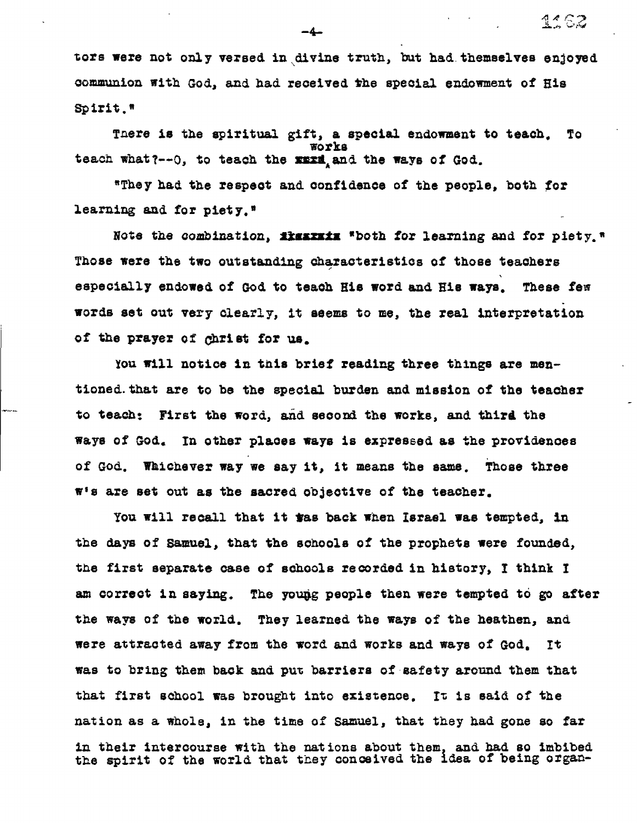**tors were not only versed in divine truth, but had themselves enjoyed communion with God, and had received the special endowment of His**  Spirit.<sup>#</sup>

**4' (.7:** 

**Tnere is the spiritual gift, a special endowment to teach, To works teach what?--0, to teach the maxik and the ways of God.** 

**"They had the respect and confidence of the people, both for learning and for piety.\*** 

Note the combination, *lisatziz* \*both for learning and for piety." **Those were the two outstanding characteristics of those teachers especially endowed of God to teach His word and His ways. These few words set out very clearly, it seems to me, the real interpretation of the prayer of dhriet for us.** 

**You will notice in this brief reading three things are mentioned.that are to be the special burden and mission of the teacher to teach: First the word, aid second the works, and third the ways of God, In other places ways is expressed as the providences of God, Whichever way we say it, it means the same. Those three woe are set out as the sacred objective of the teacher.** 

You will recall that it was back when Israel was tempted, in **the days of Samuel, that the schools of the prophets were founded, the first separate case of schools recorded in history, I think I**  am correct in saying. The young people then were tempted to go after **the ways of the world, They learned the ways of the heathen, and were attracted away from the word and works and ways of God. It was to bring them back and put barriers of safety around them that that first school was brought into existence. It is said of the nation as a whole, in the time of Samuel, that they had gone so far**  in their intercourse with the nations about them, and had so imbibed **the spirit of the world that they conceived the idea of being organ-** 

**-4-**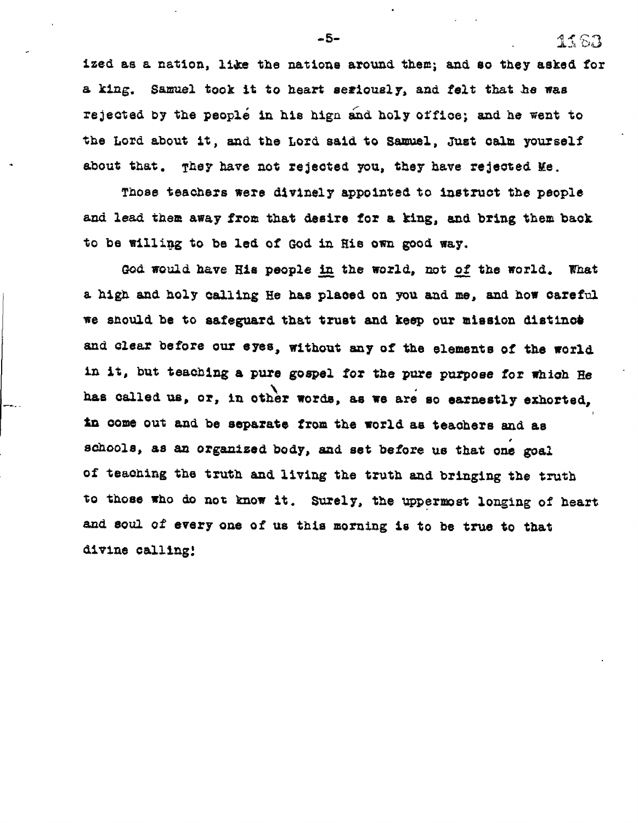**ized as a nation, like the nations around them; and so they asked for a king. Samuel took it to heart seriously, and felt that he was rejected by the people in his hign and holy office; and he went to the Lord about it, and the Lord said to Samuel, Just calm yourself about that. They have not rejected you, they have rejected Me.** 

**Those teachers were divinely appointed to instruct the people and lead them away from that desire for a king, and bring them back to be willing to be led of God in His own good way.** 

**God would have His people in the world, not of the world. What a high and holy calling He has placed on you and me, and how careful we should be to safeguard that trust and keep our mission distinct, and clear before our eyes, without any of the elements of the world in it, but teaching a pure gospel for the pure purpose for which He has called us, or, in other words, as we are so earnestly exhorted, in come out and. be separate from the world as teachers and as schools, as an organized body, and set before us that one goal**  of teaching the truth and living the truth and bringing the truth **to those who do not know it. Surely, the uppermost longing of heart and soul of every one of us this morning is to be true to that divine calling!** 

**-5-** ., *•*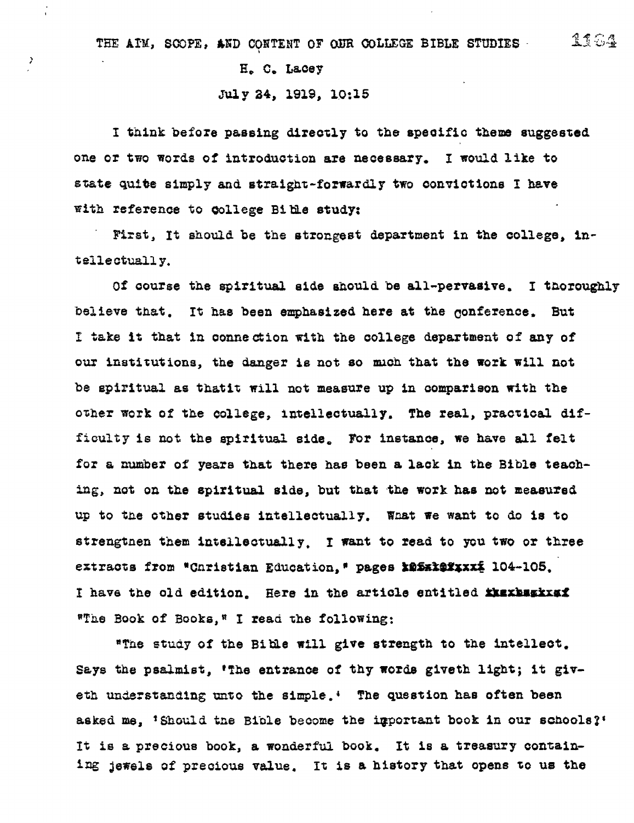## **E, C. Lacey**

 $\bar{z}$ 

## **July 34, 1919, 10:15**

**I think before passing directly to the specific theme suggested one or two words of introduction are necessary. I would like to state quite simply and straight-forwardly two convictions I have with reference to College Bias study:** 

**First, It should be the strongest department in the college, intellectually.** 

**Of course the spiritual side should be all-pervasive. I thoroughly believe that. It has been emphasized here at the conferenoe. But**  I **take it that in connection with the college department of any of our institutions, the danger is not so much that the work will not be spiritual as thatit will not measure up in comparison with the other work of the college, intellectually. The real, practical difficulty is not the spiritual side. For instance, we have all felt for a number of years that there has been a lack in the Bible teaching, not on the spiritual side, but that the work has not measured up to the other studies intellectually. Wrist we want to do is to strengtnen them intellectually. I want to read to you two or three extracts from "Christian Education." pages X25xX2Xxxx 104-105.** I have the old edition. Here in the article entitled **insides heads. ',The Book of Books,P I read the following:** 

**"The study of the Bible will give strength to the intellect. Says the psalmist, 'The entrance of thy words giveth light; it giveth understanding unto the simple.; The question has often been**  asked me, 'Should the Bible become the important book in our schools?' **It is a precious book, a wonderful book. It is a treasury containing jewels of precious value. It is a history that opens to us the**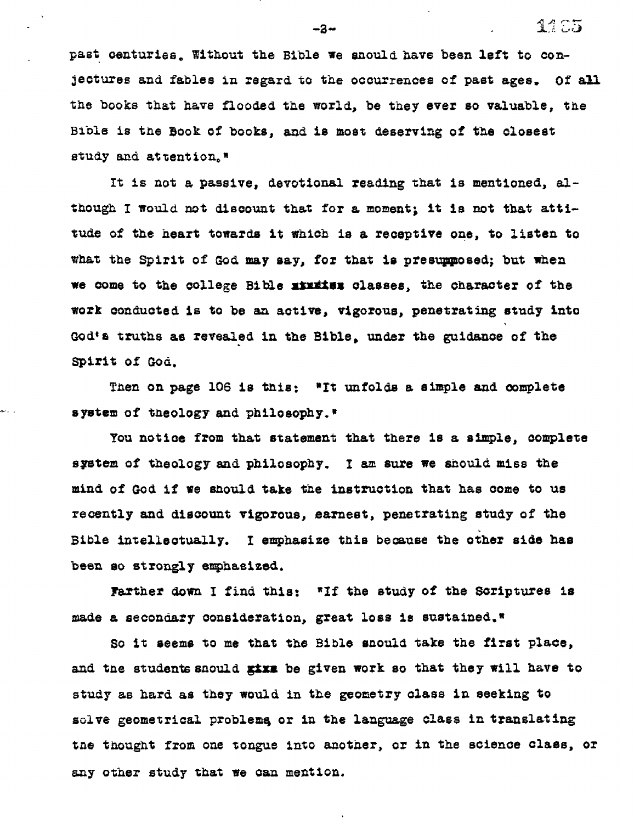**past centuries, Without the Bible we snould have been left to conjectures and fables in regard to the occurrences of past ages. Of ail the books that have flooded the world, be they ever so valuable, the Bible is the Book of books, and is most deserving of the closest**  study and attention.<sup>8</sup>

**It is not a passive, devotional reading that is mentioned, although I would not discount that for a moment; it is not that attitude of the heart towards it which is a receptive one, to listen to what the Spirit of God may say, for that is presupposed; but when we come to the college Bible stittes classes, the character of the work conducted is to be an active, vigorous, penetrating study into**  God's truths as revealed in the Bible, under the guidance of the **Spirit of God.** 

Then on page 106 is this: "It unfolds a simple and complete **system of theology and philosophy.'** 

**You notice from that statement that there is a simple, complete system of theology and philosophy. I am sure we should miss the mind of God if we should take the instruction that has come to us recently and discount vigorous, earnest, penetrating study of the Bible intellectually. I emphasize this because the other side has been so strongly emphasized.** 

Farther down I find this: "If the study of the Scriptures is **made a secondary consideration, great loss is sustained.'** 

**So it seems to me that the Bible should take the first place,**  and the students snould give be given work so that they will have to **study as hard as they would in the geometry class in seeking to**  solve geometrical problems or in the language class in translating **tne thought from one tongue into another, or in the science class, or any other study that we can mention.** 

 $-2-$ 

11 C.5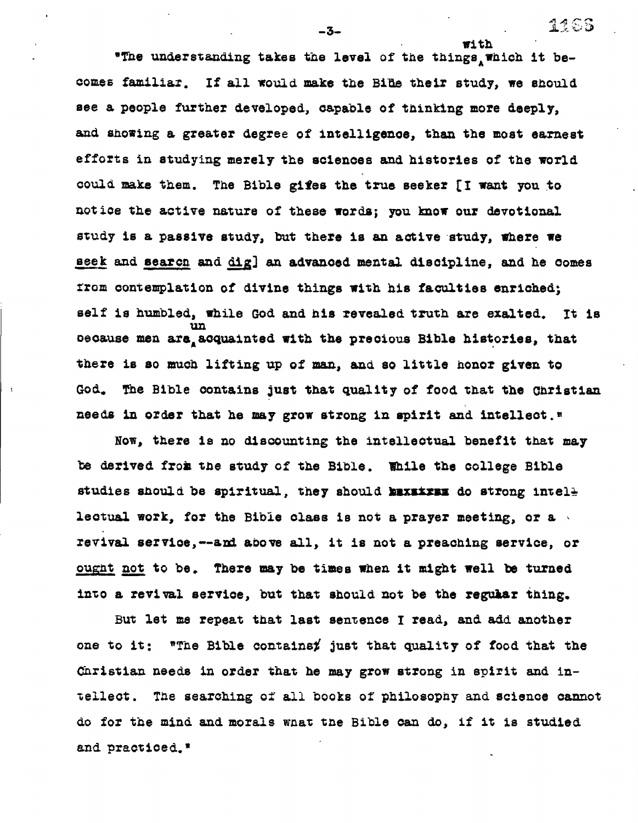**'The understanding takes the level of the things which it becomes familiar. If all would. make the Bite their study, we should see a people further developed, capable of thinking more deeply, and stowing a greater degree of intelligence, than the most earnest efforts in studying merely the sciences and histories of the world could make them. The Bible gibes the true seeker [I want you to notice the active nature of these words; you know our devotional study is a passive study, but there is an active study, where we Beek and search and dig] an advanced mental discipline, and he comes from contemplation of divine things with his faculties enriched; self is humbled, while God and his revealed truth are exalted. It is urn oeoause men are acquainted with the precious Bible histories, that there is so much lifting up of man, and so little honor given to God. The Bible contains just that quality of food that the Christian needs in order that he may grow strong in spirit and intellect.'** 

**Now, there is no discounting the intellectual benefit that may be derived frog the study of the Bible. Mile the college Bible**  studies should be spiritual, they should **MEXELVEN** do strong intel<del>l</del> **lectual work, for the Bible class is not a prayer meeting, or a revival service,--amd above all, it is not a preaching service, or ought, not to be. There may be times when it might well be turned into a revival service, but that should not be the regular thing.** 

But **let me repeat that last sentence I read, and add another one to it: "The Bible containsj just that quality of food that the Christian needs in order that he may grow strong in spirit and intellect. The searching of all books of philosophy and science cannot do for the mind and morals what the Bible can do, if it is studied and practiced.'** 

**-3- - 12 - 12 - 12 - 12 - 12 - 12 - 12 - 12 - 12 - 12 - 12 - 12 - 12 - 12 - 12 - 12 - 12 - 12 - 12 - 12 - 12 - 12 - 12 - 12**

**with**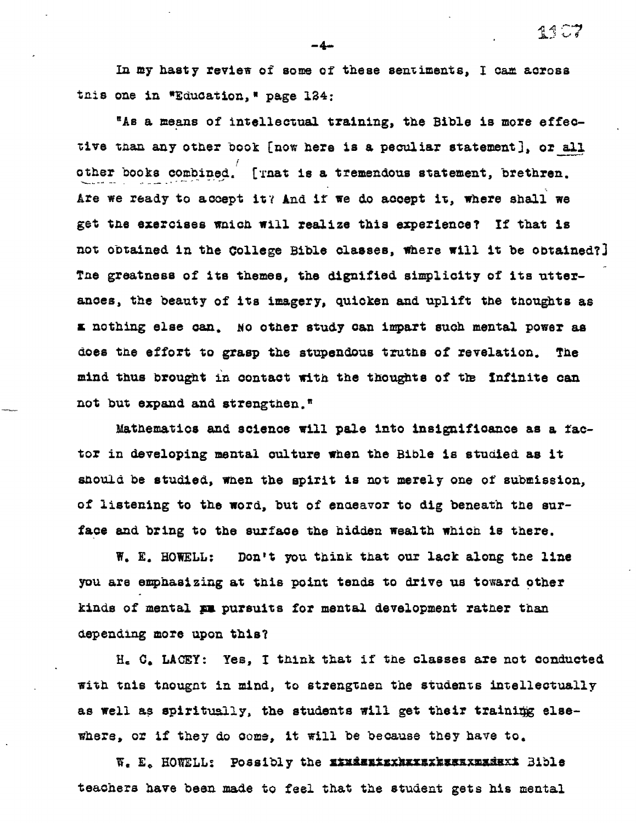**In my hasty review of some of these sentiments, I cam across**  tnis one in \*Education, \* page 124:

**"As a means of intellectual training, the Bible is more effective than any other book [now here is a peculiar statement), or all other books combined. [Tnat is a tremendous statement, brethren.**  *Are* **we ready to accept itY And if we do accept it, where shall we get the exercises mach will realize this experience? If that is not obtained in the College Bible classes, Where will it be obtained?) Tne greatness of its themes, the dignified simplicity of its utterances, the beauty of its imagery, quicken and uplift the thoughts as a nothing else can, No other study can impart such mental power as does the effort to grasp the stupendous truths of revelation. The**  mind thus brought in contact with the thoughts of the Infinite can **not but expand and strengthen.'** 

**Mathematics and science will pale into insignificance as a factor in developing mental culture when the Bible is studied as it stould be studied, when the spirit is not merely one of submission, of listening to the word, but of endeavor to dig beneath the surface and bring to the surface the hidden wealth which is there.** 

**W. E. HOWELL: Don't you think that our lack along tae line you are emphasizing at this point tends to drive us toward other kinds of mental pa pursuits for mental development ratter than depending more upon this?** 

**H. 0, LACEY: Yes, I think that if the classes are not conducted**  with this thought in mind, to strengthen the students intellectually as well as spiritually, the students will get their training else**where, or if they do come, it will be because they have to.** 

**W, E, HOWELL: Possibly the alagastaxtaxsakaaaxmadaxI 3ible teachers have been made to feel that the student gets his mental** 

-4-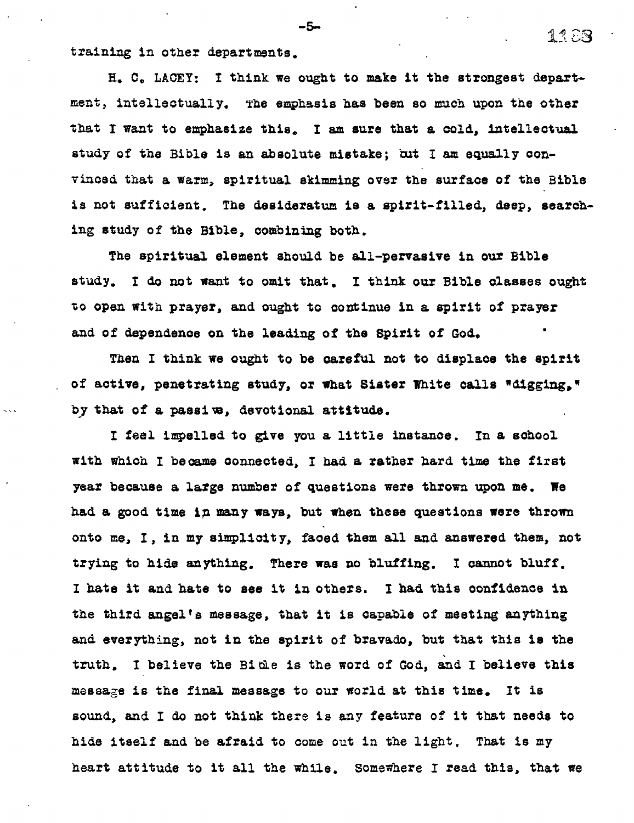**training in other departments.** 

**H. C. LACEY: I think we ought to make it the strongest department, intellectually. The emphasis has been so much upon the other that I want to emphasize this. I am sure that a cold, intellectual study of the Bible is an absolute mistake; bat I am equally convinced that a warm, spiritual skimming over the surface of the Bible is not sufficient. The desideratum is a spirit-filled, deep, searching study of the Bible, combining both.** 

**The spiritual element should be all-pervasive in our Bible study. I do not want to omit that, I think our Bible classes ought to open with prayer, and ought to continue in a spirit of prayer and of dependence on the leading of the Spirit of God.** 

**Then I think we ought to be careful not to displace the spirit of active, penetrating study, or what Sister White calls "digging." by that of a passive, devotional attitude.** 

**I feel impelled to give you a little instance. In a school with which I became connected, I had a rather hard time the first year because a large number of questions were thrown upon me. We had a good time in many ways, but when these questions were thrown onto me, in my simplicity, faced them all and answered them, not trying to hide anything. There was no bluffing. I cannot bluff. I hate it and. hate to see it in others. I had this confidence in the third angel's message, that it is capable of meeting anything and everything, not in the spirit of bravado, but that this is the truth. I believe the Bible is the word of God, and I believe this message is the final message to our world at this time. It is sound, and I do not think there is any feature of it that needs to hide itself and be afraid to come out in the light. That is my heart attitude to it all the while, Somewhere I read this, that we** 

 $-5-$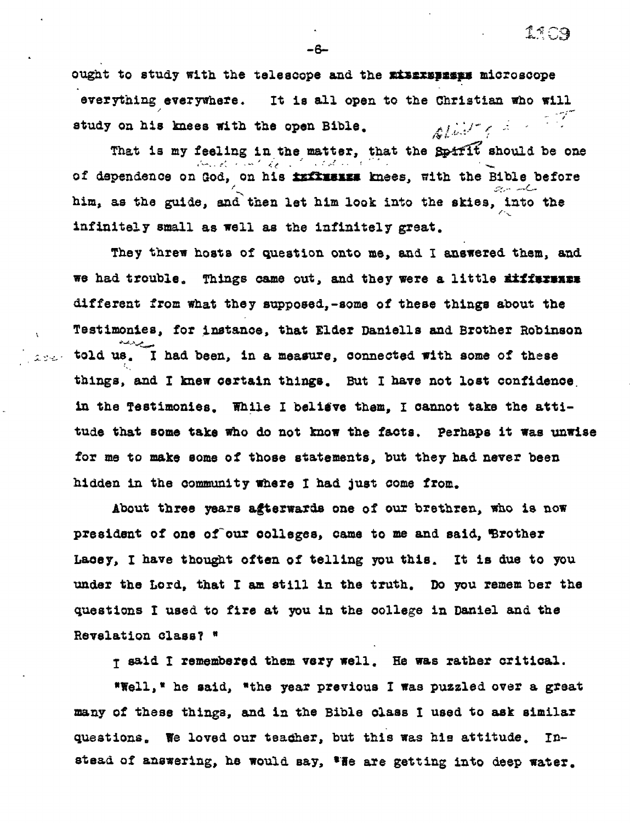**ought to study with the telescope and the mismpaspit microscope everything everywhere. It is all open to the Christian who will**   $\Delta U \sim \epsilon^{-1}$ **study on his knees with the open Bible.** 

That is my feeling in the matter, that the Spirit should be one of dependence on God, on his **influence** knees, with the Bible before **him, as the guide, and then let him look into the skies, into the infinitely small as well as the infinitely great.** 

**They threw hosts of question onto me, and I answered them, and we had trouble. Things came out, and they were a little Atfissimmi different from what they supposed,-some of these things about the Testimonies, for instance, that Elder Danielle and Brother Robinson told us. I had been, in a measure, connected with some of these things, and I knew certain things. But I have not lost confidence. in the Testimonies. While I belidve them, I cannot take the attitude that some take who do not know the facts. Perhaps it Was unwise for me to make some of those statements, but they had never been hidden in the community where I had just come from.** 

 $\mathcal{L}(\mathcal{C},\mathcal{C})$  .

**About three years agterwards one of our brethren, who is now**  president of one of our colleges, came to me and said, Brother **Lacey, I have thought often of telling you this. It is due to you under the Lord, that I am still in the truth. Do you remem ber the questions I used to fire at you in the college in Daniel and the Revelation class? "** 

**I said I remembered them very well. He was rather critical.** 

**\*Well,' he said, "the year previous I was puzzled over a great many of these things, and in the Bible class I used to ask similar questions. We loved our teadher, but this was his attitude. In**stead of answering, he would say, 'He are getting into deep water.

**-6-**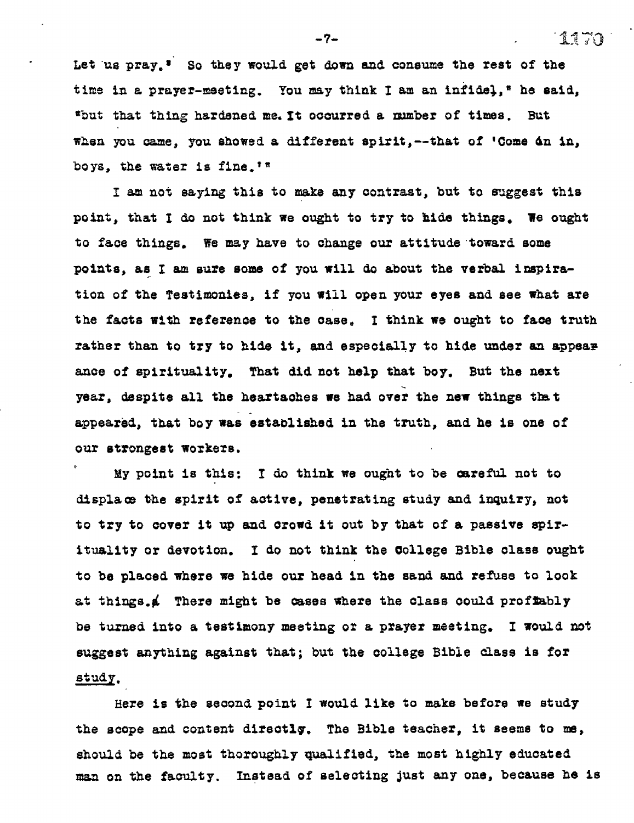Let us pray.<sup>*i*</sup> So they would get down and consume the rest of the time in a prayer-meeting. You may think I am an infidel,<sup>s</sup> he said, **°but that thing hardened me. It occurred a number of times. But**  when you came, you showed a different spirit, --that of 'Come dn in, **boys, the water is fine."** 

**I am not saying this to** *make* **any contrast, but to suggest this point, that I do not think we ought to try to hide things. We ought to face things. We may have to change our attitude toward some points, as I am sure some of you will do about the verbal inspiration of the Testimonies, if you will open your eyes and** *see* **what are the facts with reference to the case, I think we ought to** *face* **truth rather than to try to hide it, and especially to hide under an appear ants of spirituality. That did not help that boy. But the next year, despite all the heartaches we had over the new things that appeared, that boy was established in the truth, and he is one of our strongest workers.** 

<sup>t</sup>**My point is this: I do think we ought to be careful not to displace the spirit of active, penetrating study and inquiry, not to try to cover it up and crowd it out by that of a passive spirituality or devotion. I do not think the College Bible class ought to be placed where we hide our head in the sand and refuse to look at things.4 There might be cases where the class oould proftably**  *be* **turned into a testimony meeting or a prayer meeting. I would not suggest anything against that; but the college Bible class is for study.** 

**Here is the second point I would like to make before we study the scope and content directiq. The Bible teacher, it seems to me, should be the most thoroughly qualified, the most highly educated man on the faculty. Instead of selecting just any one, because he is** 

**-7- 1470**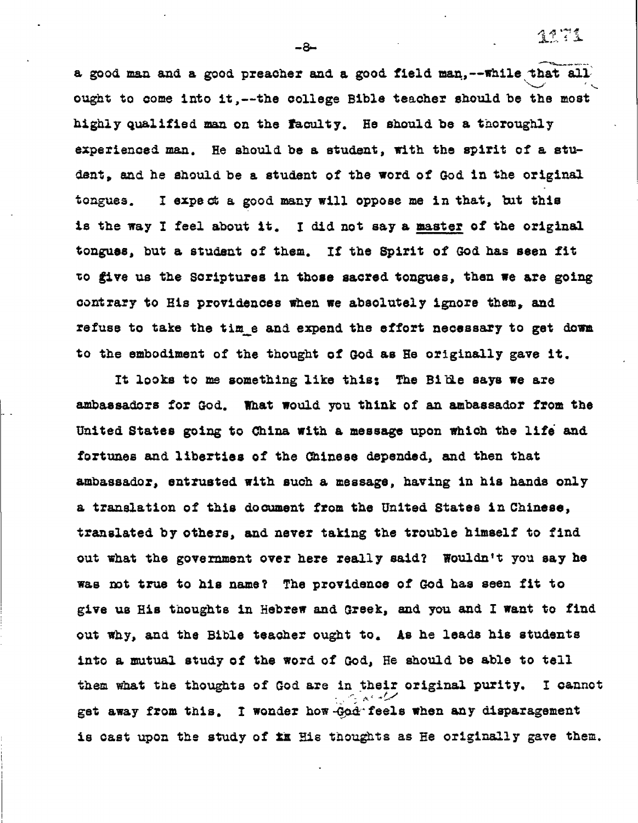ว 1 7 วั

**a good man and a good preacher and. a good. field man,--while that all. ought to come into it,---the college Bible teacher should be the most highly qualified man on the faculty. He should be a thoroughly experienced man. He should be a student, with the spirit of a student, and he should be a student of the word of God in the original tongues. I expect a good many will oppose me in that, but this is the way I feel about it. I did not say a master of the original tongues, but a student of them. If the Spirit of God has seen fit zo give us the Scriptures in those sacred tongues, then we are going contrary to His providences when we absolutely ignore them, and refuse to take the time and expend the effort necessary to get dowm to the embodiment of the thought of God as He originally gave it.** 

**It looks to me something like this: The Bible says we are ambassadors for God. What would you think of an ambassador from the United. States going to China with a message upon which the life and fortunes and liberties of the Chinese depended, and then that ambassador, entrusted with such a message, having in his hands only a translation of this document from the United States in Chinese, translated by others, and never taking the trouble himself to find out what the government over here really said? Wouldn't you say he Was rot true to his name? The providence of God has seen fit to give us His thoughts in Hebrew and Greek, and you and I want to find out why, and the Bible teacher ought to. As he leads his students into a mutual study of the word of God, He should be able to tell them what the thoughts of God are in their original purity. I cannot get away from this. I wonder how-God•feels when any disparagement**  is cast upon the study of ix His thoughts as He originally gave them.

**-8-**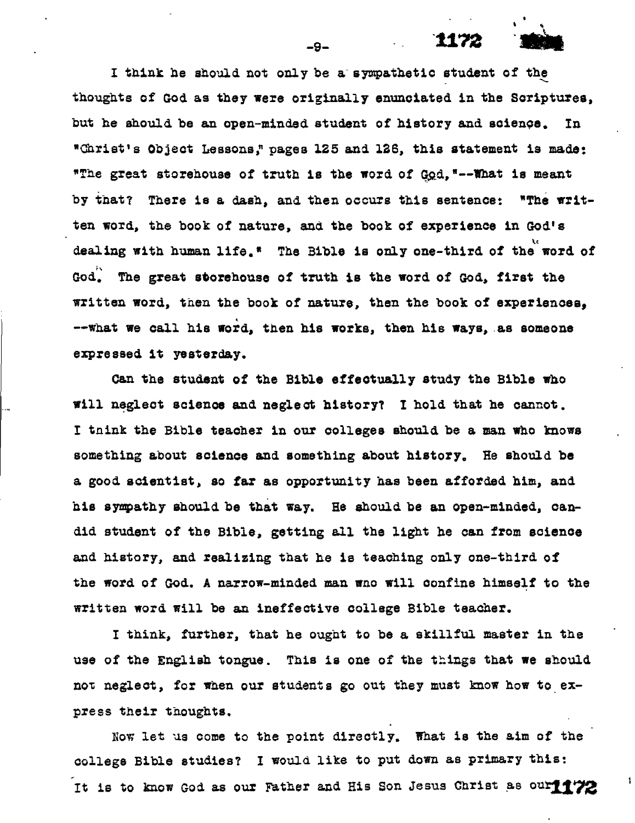**I think he should not only be a sympathetic student of the thoughts of God as they were originally enunciated in the Scriptures, but he should be an open-minded student of history and science. In \*Christ's Object Lessons," pages 125 and 126, this statement is made:**  \*The great storehouse of truth is the word of God, "--What is meant **by that? There is a dash, and then occurs this sentence: "The written word, the book of nature, and the book of experience in God's dealing with human life.\* The Bible is only one-third of the word of God. The great storehouse of truth is the word of God, first the written word, then the book of nature, then the book of experiences, --what we call his word, then his works, then his ways, -as someone expressed it yesterday.** 

**Can the student of the Bible effectually study the Bible who will neglect science and neglect history? I hold that he cannot. I tnink the Bible teacher in our colleges should be a man who knows something about science and something about history. He should be a good scientist, so far as opportunity has been afforded him, and.**  his sympathy should be that way. He should be an open-minded, can**did student of the Bible, getting all the light he can from science and history, and realizing that he is teaching only one-third of the word of God. A narrow-minded man wao will confine himself to the written word will be an ineffective college Bible teacher.** 

I **think, further, that he ought to be a skillful master in the use of the English tongue. This is one of the things that we should not neglect, for when our students go out they must know how to express their thoughts.** 

**Now let us come to the point directly. What is the aim of the college Bible studies? I would like to put down as primary this:**  It is to know God as our Father and His Son Jesus Christ as our<sup>11</sup>/2

**-9-**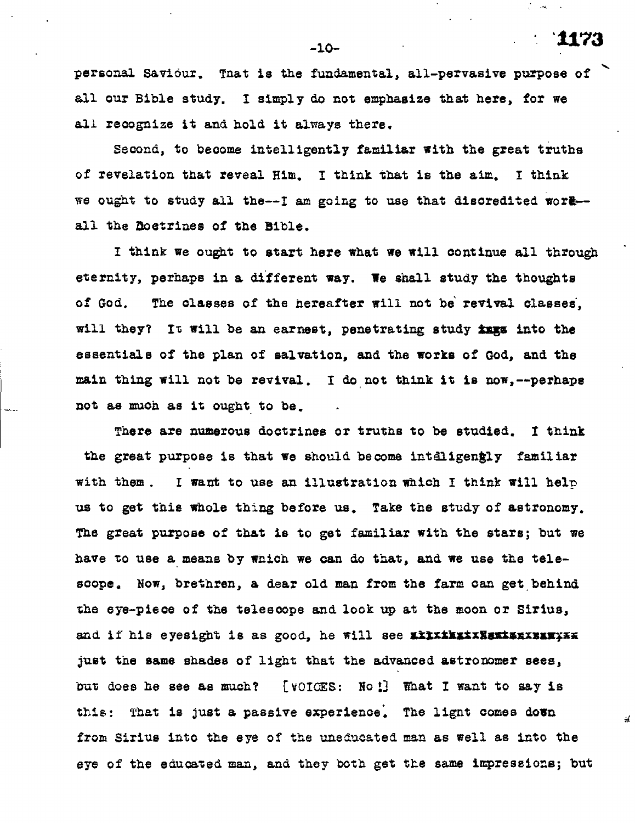**personal saviour. Tnat is the fundamental, all-pervasive purpose of all our Bible study. I simply do not emphasize that here, for we all recognize it and hold it always there.** 

**Second, to become intelligently familiar with the great truths of revelation that reveal Him. I think that is the aim, I think we ought to study all the--I am going to use that discredited wort- all the Doctrines of the bible.** 

I **think we ought to start here what we will continue all through eternity, perhaps in a different way. We shall study the thoughts of God. The classes of the hereafter will not be revival classes, will they? It will be an earnest, penetrating study ins into the essentials of the plan of salvation, and the works of God, and the main thing will not be revival. I do, not think it is now,--perhaps not as much as it ought to be.** 

**There are numerous doctrines or truths to be studied. I think**  the great purpose is that we should become inteligengly familiar **with them.** I **want to use an illustration which I think will halt, us to get this whole thing before us. Take the study of astronomy. The great purpose of that is to get familiar with the stars; but we have to use a means by which we can do that, and we use the telescope. Now, brethren, a dear old man from the farm can get, behind The eye-piece of the telescope and look up at the moon or Sirius,**  and if his eyesight is as good, he will see xixxxxxxxxxxxxxxxxxxxxxx **just the same shades of light that the advanced astronomer sees, but does he see as much? [VOICES: No 13 What I want to say is**  this: That is just a passive experience. The lignt comes down **from Sirius into the eye of the uneducated. man as well as into the eye of the educated man, and they both get the same impressions; but** 

-10- **"1173** 

 $\sqrt{\frac{2}{\pi}}$  and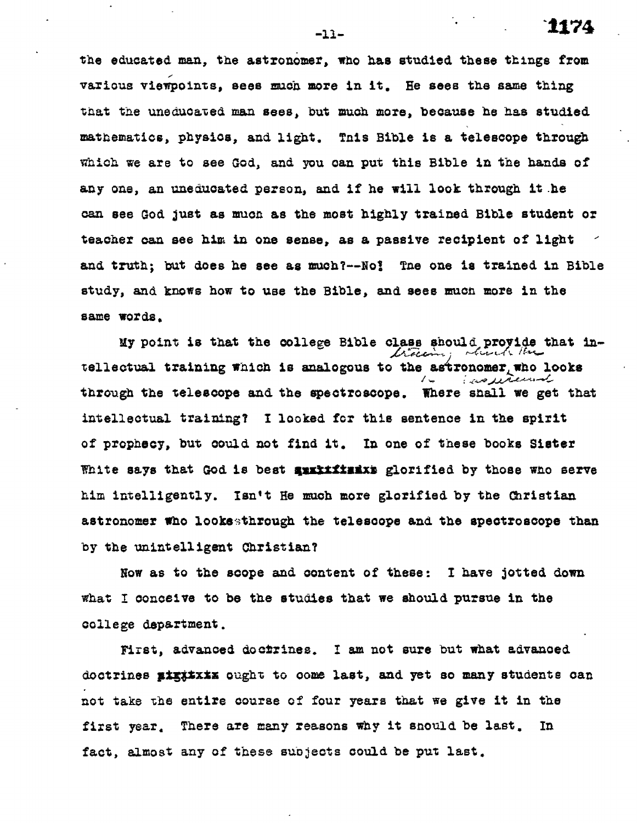**the educated man, the astronomer, who has studied these things from various viewpoints, sees much more in it. He sees the same thing that the uneducated man sees, but much more, because he has studied mathematics, physics, and light, Tnis Bible is a telescope through which we are to see God, and you can put this Bible in the hands of any one, an uneducated person, and if he will look through it .he can see God just as much as the most highly trained Bible student or teacher can see him in one sense, as a passive recipient of light and truth; but does he see as much?--No; Tne one is trained in Bible study, and knows how to use the Bible, and sees mucn more in the same words,** 

**My point is that the college Bible class should provide that in**tellectual training which is analogous to the astronomer who looks **through the telescope and. the spectroscope. There shall we get that intellectual training? I looked for this sentence in the spirit of prophecy, but could not find it. In one of these books Sister**  White says that God is best surrificiallerified by those who serve **him intelligently. Isn't He much more glorified by the Christian astronomer who lookethrough the telescope and the spectroscope than by the unintelligent Christian?** 

**Now as to the scope and content of these: I have jotted down what I conceive to be the studies that we should pursue in the college department.** 

**First, advanced doctrines. I am not sure but what advanced**  doctrines **pigitzix** ought to come last, and yet so many students can **not take The entire course of four years that we give it in the first year, There are many reasons why it snould be last. In fact, almost any of these subjects could be put last.** 

-11- **`1174**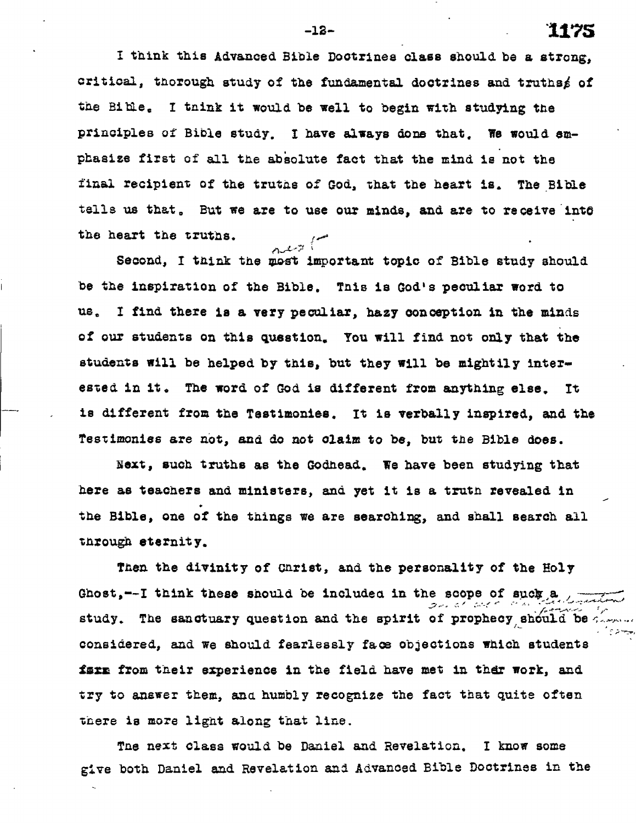**I think this Advanced Bible Doctrines class should be a strong, critical, thorough study of the fundamental doctrines and truthsi of the Bibles I tnink it would be well to begin with studying the principles of Bible study. I have always done that. We would emphasize first of all the abiolute fact that the mind is not the final recipient of the truths of God, that** *the* **heart is. The Bible**  tells us that. But we are to use our minds, and are to receive intô **the heart the truths.**  كي پيوسه

Second, I think the most important topic of Bible study should **be the inspiration of the Bible, This is God's peculiar word to use I find there is a very peculiar, hazy Conception in the minds of our students on this questions You will find not only that the students will be helped by this, but they will be mightily later**ested in it. The word of God is different from anything else. It **is different from the Testimonies. It is verbally inspired, and the Testimonies are not, and do not claim to be, but the Bible does.** 

**Next, such truths as the Godhead. We have been studying that here as teachers and ministers, and yet it is a truth revealed in the Bible, one of the things we are searching, and shall search all through eternity.** 

Then the divinity of Christ, and the personality of the Holy Ghost,--I think these should be included in the scope of suck,a **study. The sanctuary question and the spirit of prophecy, should be considered, and we should fearlessly face objections which students**  farm from their experience in the field have met in ther work, and **try to answer them, ana humbly recognize the fact that quite often there is more light along that line.** 

**Tae next class would be Daniel and Revelation. I know some give both Daniel and Revelation and Advanced Bible Doctrines in the** 

**-12- 1175**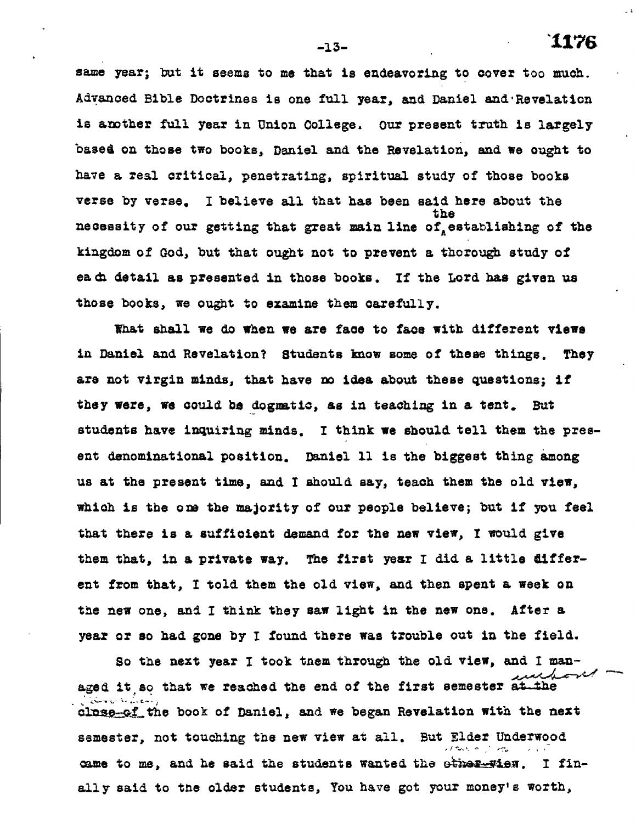**-13- 1176** 

**same year; but it seems to me that is endeavoring to cover too much. Advanced Bible Doctrines is one full year, and Daniel and.Revelation is another full year in Union College. Our present truth is largely based on those two books, Daniel and the Revelation, and we ought to have a real critical, penetrating, spiritual study of those books**  verse by verse. I believe all that has been said here about the **the**  necessity of our getting that great main line of establishing of the **kingdom of God, but that ought not to prevent a thorough study of each detail as presented in those books. If the Lord has given us those books, we ought to examine them carefully.** 

**What shall we do when we are face to face with different views in Daniel and Revelation? Students know some of these things. They are not virgin minds, that have no idea about these questions; if they were, we could be dogmatic, as in teaching in a tent. But students have inquiring minds. I think we should tell them the present denominational position. Daniel 11 is the biggest thing among us at the present time, and I should say, teach them the old view, which is the one the majority of our people believe; but if you feel that there is a sufficient demand for the new view, I would give them that, in a private way. The first year I did a little different from that, I told them the old view, and then spent a week on the new one, and I think they saw light in the new one. After a year or so had gone by I found there was trouble out in the field.** 

**So the next year I took tnem through the old view, and I man-**فبمستمر فسيمد وكا **aged it so that we reached the end of the first semester at the**  alose of the book of Daniel, and we began Revelation with the next **semester, not touching the new view at all. But Elder Underwood**  came to me, and he said the students wanted the other wise. I fin**ally said to the older students, You have got your money's worth,**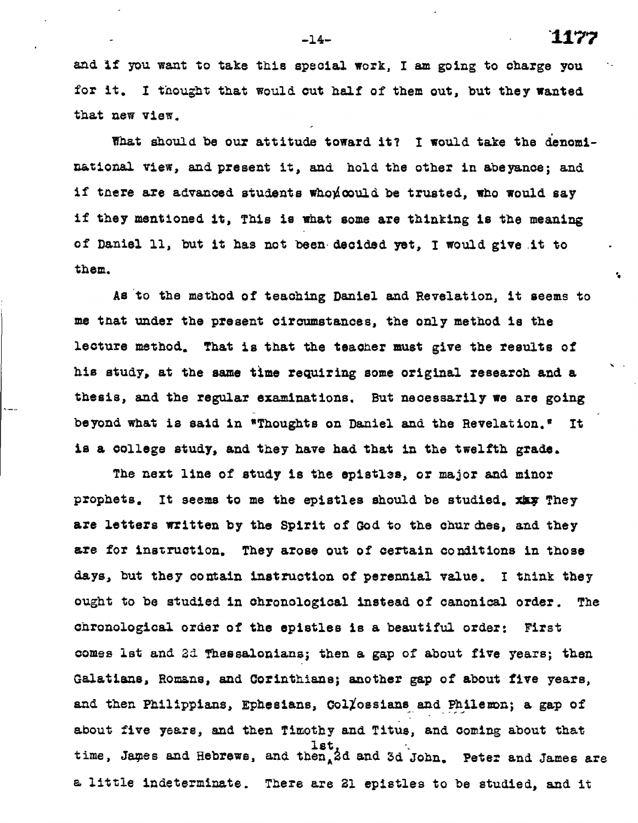**-14-- 1177** 

 $\ddot{\phantom{a}}$ 

**and if you want to take this special work, I am going to charge you for it. I thought that would cut half of them out, but they wanted that** *new* **view.** 

**That should be our attitude toward it? I would take the denominational** *view,* **and present it, aad hold the other in abeyance; and if tnere are advanced students whoyioould be trusted, who would say if they mentioned it, This is what some are thinking is the meaning of Daniel 11, but it has not been decided yet, I would give it to them.** 

**Asia the method of teaching Daniel and Revelation, it seems to me that under the present circumstances, the only method is the lecture method. That is that the teacher must give the results of his study, at the same time requiring some original researoh and a thesis, aad the regular examinations. But necessarily we are going beyond what is said in "Thoughts on Daniel and the Revelation.° It is a college study, and they have had that in the twelfth grade.** 

**The next line of study is the epistles, or major and minor prophets. It seems to me the epistles should be studied. XX; They**  are letters written by the Spirit of God to the churdles, and they **are for instruction. They arose out of certain conditions in those days, but they contain instruction of perennial value. I think they ought to be studied in chronological instead of canonical order. The chronological order of the epistles is a beautiful order: First comes let and** 2d **Thessalonians; then a gap of about five years; then Galatians, Romans, and Corinthians; another gap of about five years, and then Philippians, Ephesians, CollossiansandPhilenon; a gap of about five years, and then Timothy and Titus, and coming about that 1st time, Japes and Hebrews, and then<sup>h</sup> 2d and 3d John. Peter and James are a little indeterminate. There are** 21 **epistles to be studied, and it**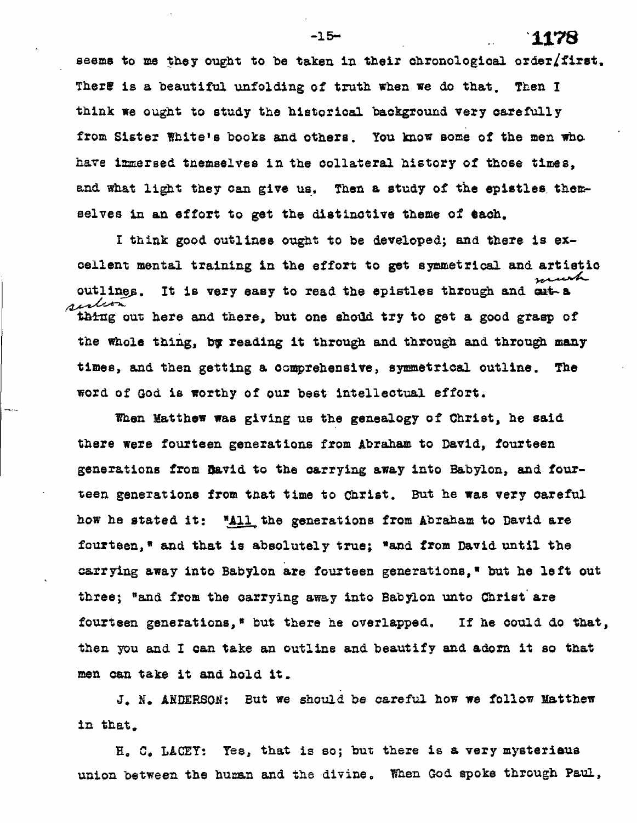**seems to me they ought to be taken in their chronological order/first. There is a beautiful unfolding of truth when we do that. Then I think we ought to study the historical background very carefully from Sister White's books and others. You know some of the men who have immersed tnemseives in the collateral history of those times, and what light they can give us. Then a study of the epistlee thereselves in an effort to get the distinctive theme of each.** 

**I think good outlines ought to be developed; and there is excellent mental training in the effort to get symmetrical and artistic outlines.** It is very easy to read the epistles through and cut-a *aution* thing out here and there, but one shoud try to get a good grasp of **the whole thing, bg reading it through and through and through many times, and then getting a comprehensive, symmetrical outline. The word of God is worthy of our best intellectual effort.** 

**When Matthew was giving us the genealogy of Christ, he said there were fourteen generations from Abraham to David, fourteen generations from David to the carrying away into Babylon, and fourteen generations from that time to Christ. But he was very careful**  how he stated it: "All the generations from Abraham to David are **fourteen," and that is absolutely true; "and from David until the carrying away into Babylon are fourteen generations," but he left out three; "and from the carrying away into Babylon unto Christ are fourteen generations," but there he overlapped. If he could do that, then you and I can take an outline and beautify and adorn it so that men can take it and hold it.** 

J. N. **ANDERSON: But we should be careful how we follow Matthew in that.** 

**H. C. LACEY: Yes, that is so; but there is a very mysteriaua union between the human and the divine, When God spoke through Paul,** 

**-15** 1178 **-**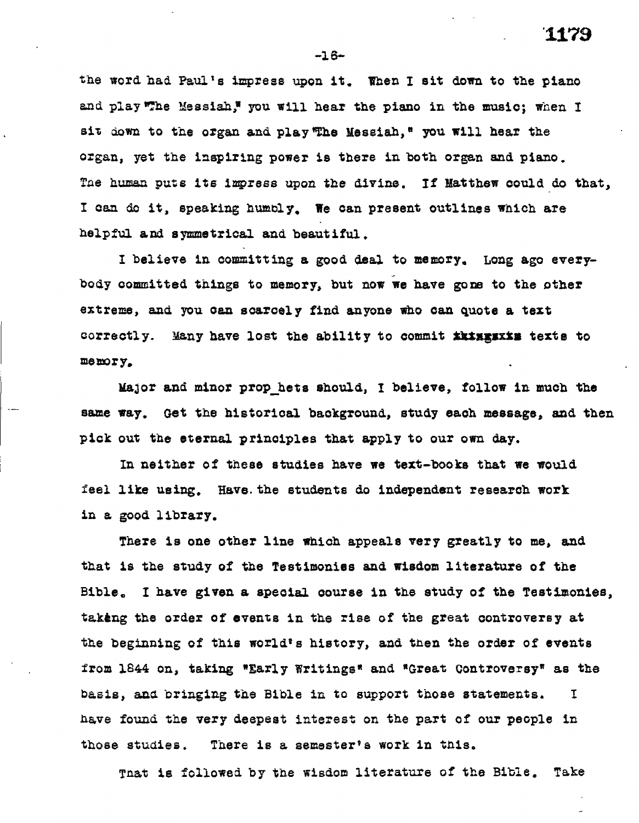**the word had Paul's impress upon it. Then I sit down to the piano**  and play The Messiah," you will hear the piano in the music; when I **sit down to the organ and play'The Messiah," you will hear the organ, yet the inspiring power is there in both organ and piano. The human puts its impress upon the divine. If Matthew could do that, I can do it, speaking humbly, We can present outlines which are helpful and symmetrical and beautiful.** 

**I believe in committing a good deal to memory, Long ago everybody committed things to memory, but now we have gone to the other**  extreme, and you can scarcely find anyone who can quote a text **correctly.** Many have lost the ability to commit *ikingsxim* texts to **memory.** 

**Major and minor prop bets should, I believe, follow in much the same way. Get the historical background, study each message, and then pick out the eternal principles that apply to our own day.** 

**In neither of these studies have we text-books that we would feel like using. Have. the students do independent research work in a good library.** 

**There is one other line which appeals very greatly to me, and that is the study of the Testimonies and wisdom literature of the Bible. I have given a special course in the study of the Testimonies, taking the order of events in the rise of the great controversy at the beginning of this world's history, and then the order of events from 1844 on, taking "Early Writings" and "Great Controversy" as the basis, and bringing the Bible in to support those statements. I have found the very deepest interest on the part of our people in those studies. There is a semester's work in this.** 

**That is followed by the wisdom literature of the Bible. Take** 

**-18-**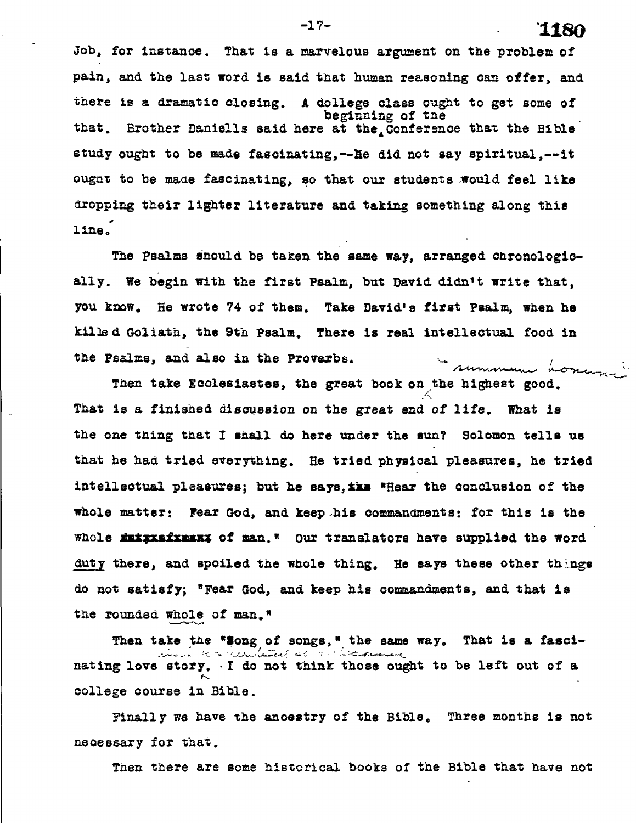**Job, for instance. That is a marvelous argument on the problem of pain, and the last word is said that human reasoning can offer, and there is a dramatic closing. A dollege class ought to get some of beginning of tte**  that. Brother Daniells said here at the Conference that the Bible **study ought to be made fascinating,--lie did not say spiritual,--it**  ought to be made fascinating, so that our students would feel like **dropping their lighter literature and taking something along this line:** 

**The Psalms Should be taken the same way, arranged chronologically. We begin with the first Psalm, but David didn't write that, you know, He wrote 74 of them. Take David's first psalm, when he killed Goliath, the 9th Psalm. There is real intellectual food in the Psalms, and also in the Proverbs.**  summum

**Then take Ecclesiastes, the great book on the highest good. That is a finished discussion on the great end of life. What is the one thing that I shall do here under the sun? Solomon tells us that he had tried everything. He tried physical pleasures, he tried**  intellectual pleasures; but he says, **ike** \*Hear the conclusion of the **whole matter: Fear God, and keep .his commandments: for this is the whole Ampmaismim of man.\* Our translators have supplied the word**  duty there, and spoiled the whole thing. He says these other things **do not satisfy; \*Fear God, and keep his commandments, and that is the rounded whole of man."** 

Then take the \*3ong of songs, \* the same way. That is a fasci-<br>**All the same way.** That is a fascinating love story. I do not think those ought to be left out of a **college course in Bible.** 

**Finally we have the ancestry of the Bible. Three months is not necessary for that.** 

**Tien there are some historical books of the Bible that have not**